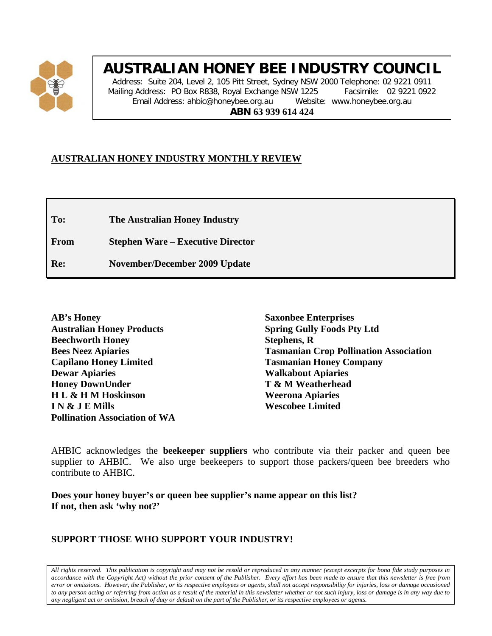

# **AUSTRALIAN HONEY BEE INDUSTRY COUNCIL**

Address: Suite 204, Level 2, 105 Pitt Street, Sydney NSW 2000 Telephone: 02 9221 0911 Mailing Address: PO Box R838, Royal Exchange NSW 1225 Facsimile: 02 9221 0922 Email Address: ahbic@honeybee.org.au Website: www.honeybee.org.au **ABN 63 939 614 424**

#### **AUSTRALIAN HONEY INDUSTRY MONTHLY REVIEW**

**To: The Australian Honey Industry**

**From Stephen Ware – Executive Director**

**Re: November/December 2009 Update**

**AB's Honey Australian Honey Products Beechworth Honey Bees Neez Apiaries Capilano Honey Limited Dewar Apiaries Honey DownUnder H L & H M Hoskinson I N & J E Mills Pollination Association of WA**

**Saxonbee Enterprises Spring Gully Foods Pty Ltd Stephens, R Tasmanian Crop Pollination Association Tasmanian Honey Company Walkabout Apiaries T & M Weatherhead Weerona Apiaries Wescobee Limited**

AHBIC acknowledges the **beekeeper suppliers** who contribute via their packer and queen bee supplier to AHBIC. We also urge beekeepers to support those packers/queen bee breeders who contribute to AHBIC.

**Does your honey buyer's or queen bee supplier's name appear on this list? If not, then ask 'why not?'**

#### **SUPPORT THOSE WHO SUPPORT YOUR INDUSTRY!**

*All rights reserved. This publication is copyright and may not be resold or reproduced in any manner (except excerpts for bona fide study purposes in accordance with the Copyright Act) without the prior consent of the Publisher. Every effort has been made to ensure that this newsletter is free from error or omissions. However, the Publisher, or its respective employees or agents, shall not accept responsibility for injuries, loss or damage occasioned to any person acting or referring from action as a result of the material in this newsletter whether or not such injury, loss or damage is in any way due to any negligent act or omission, breach of duty or default on the part of the Publisher, or its respective employees or agents.*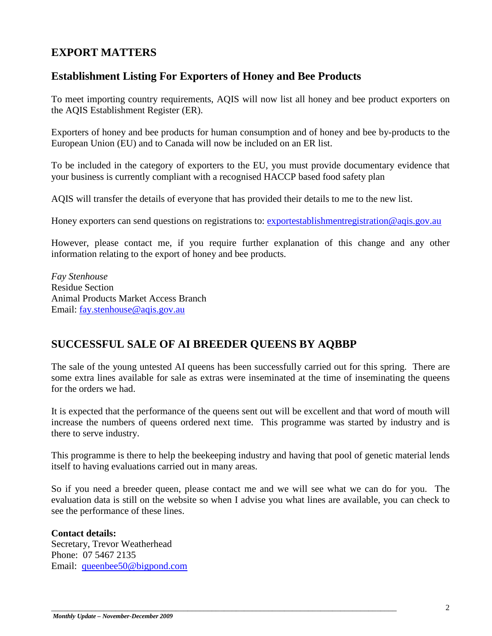## **EXPORT MATTERS**

## **Establishment Listing For Exporters of Honey and Bee Products**

To meet importing country requirements, AQIS will now list all honey and bee product exporters on the AQIS Establishment Register (ER).

Exporters of honey and bee products for human consumption and of honey and bee by-products to the European Union (EU) and to Canada will now be included on an ER list.

To be included in the category of exporters to the EU, you must provide documentary evidence that your business is currently compliant with a recognised HACCP based food safety plan

AQIS will transfer the details of everyone that has provided their details to me to the new list.

Honey exporters can send questions on registrations to: [exportestablishmentregistration@aqis.gov.au](mailto:exportestablishmentregistration@aqis.gov.au)

However, please contact me, if you require further explanation of this change and any other information relating to the export of honey and bee products.

*Fay Stenhouse* Residue Section Animal Products Market Access Branch Email: [fay.stenhouse@aqis.gov.au](mailto:fay.stenhouse@aqis.gov.au)

## **SUCCESSFUL SALE OF AI BREEDER QUEENS BY AQBBP**

The sale of the young untested AI queens has been successfully carried out for this spring. There are some extra lines available for sale as extras were inseminated at the time of inseminating the queens for the orders we had.

It is expected that the performance of the queens sent out will be excellent and that word of mouth will increase the numbers of queens ordered next time. This programme was started by industry and is there to serve industry.

This programme is there to help the beekeeping industry and having that pool of genetic material lends itself to having evaluations carried out in many areas.

So if you need a breeder queen, please contact me and we will see what we can do for you. The evaluation data is still on the website so when I advise you what lines are available, you can check to see the performance of these lines.

**Contact details:**  Secretary, Trevor Weatherhead Phone: 07 5467 2135 Email: [queenbee50@bigpond.com](mailto:queenbee50@bigpond.com)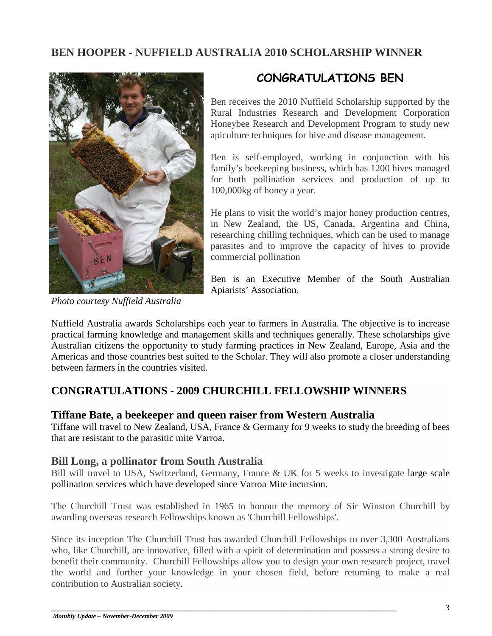## **BEN HOOPER - NUFFIELD AUSTRALIA 2010 SCHOLARSHIP WINNER**



*Photo courtesy Nuffield Australia*

## **CONGRATULATIONS BEN**

Ben receives the 2010 Nuffield Scholarship supported by the Rural Industries Research and Development Corporation Honeybee Research and Development Program to study new apiculture techniques for hive and disease management.

Ben is self-employed, working in conjunction with his family's beekeeping business, which has 1200 hives managed for both pollination services and production of up to 100,000kg of honey a year.

He plans to visit the world's major honey production centres, in New Zealand, the US, Canada, Argentina and China, researching chilling techniques, which can be used to manage parasites and to improve the capacity of hives to provide commercial pollination

Ben is an Executive Member of the South Australian Apiarists' Association.

Nuffield Australia awards Scholarships each year to farmers in Australia. The objective is to increase practical farming knowledge and management skills and techniques generally. These scholarships give Australian citizens the opportunity to study farming practices in New Zealand, Europe, Asia and the Americas and those countries best suited to the Scholar. They will also promote a closer understanding between farmers in the countries visited.

## **CONGRATULATIONS - 2009 CHURCHILL FELLOWSHIP WINNERS**

#### **Tiffane Bate, a beekeeper and queen raiser from Western Australia**

Tiffane will travel to New Zealand, USA, France & Germany for 9 weeks to study the breeding of bees that are resistant to the parasitic mite Varroa.

#### **Bill Long, a pollinator from South Australia**

Bill will travel to USA, Switzerland, Germany, France & UK for 5 weeks to investigate large scale pollination services which have developed since Varroa Mite incursion.

The Churchill Trust was established in 1965 to honour the memory of Sir Winston Churchill by awarding overseas research Fellowships known as 'Churchill Fellowships'.

Since its inception The Churchill Trust has awarded Churchill Fellowships to over 3,300 Australians who, like Churchill, are innovative, filled with a spirit of determination and possess a strong desire to benefit their community. Churchill Fellowships allow you to design your own research project, travel the world and further your knowledge in your chosen field, before returning to make a real contribution to Australian society.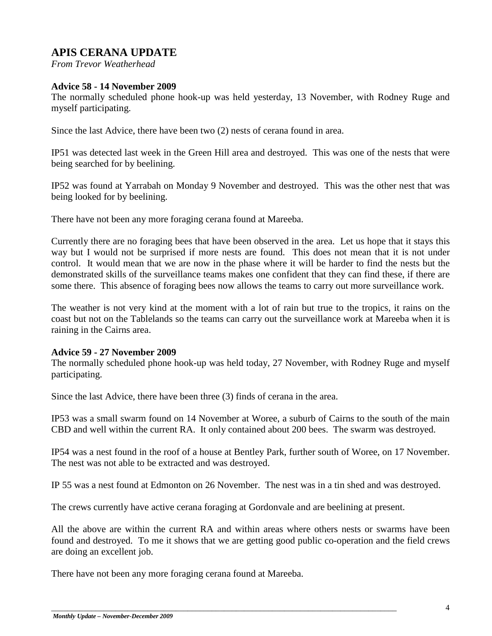## **APIS CERANA UPDATE**

*From Trevor Weatherhead*

#### **Advice 58 - 14 November 2009**

The normally scheduled phone hook-up was held yesterday, 13 November, with Rodney Ruge and myself participating.

Since the last Advice, there have been two (2) nests of cerana found in area.

IP51 was detected last week in the Green Hill area and destroyed. This was one of the nests that were being searched for by beelining.

IP52 was found at Yarrabah on Monday 9 November and destroyed. This was the other nest that was being looked for by beelining.

There have not been any more foraging cerana found at Mareeba.

Currently there are no foraging bees that have been observed in the area. Let us hope that it stays this way but I would not be surprised if more nests are found. This does not mean that it is not under control. It would mean that we are now in the phase where it will be harder to find the nests but the demonstrated skills of the surveillance teams makes one confident that they can find these, if there are some there. This absence of foraging bees now allows the teams to carry out more surveillance work.

The weather is not very kind at the moment with a lot of rain but true to the tropics, it rains on the coast but not on the Tablelands so the teams can carry out the surveillance work at Mareeba when it is raining in the Cairns area.

#### **Advice 59 - 27 November 2009**

The normally scheduled phone hook-up was held today, 27 November, with Rodney Ruge and myself participating.

Since the last Advice, there have been three (3) finds of cerana in the area.

IP53 was a small swarm found on 14 November at Woree, a suburb of Cairns to the south of the main CBD and well within the current RA. It only contained about 200 bees. The swarm was destroyed.

IP54 was a nest found in the roof of a house at Bentley Park, further south of Woree, on 17 November. The nest was not able to be extracted and was destroyed.

IP 55 was a nest found at Edmonton on 26 November. The nest was in a tin shed and was destroyed.

The crews currently have active cerana foraging at Gordonvale and are beelining at present.

All the above are within the current RA and within areas where others nests or swarms have been found and destroyed. To me it shows that we are getting good public co-operation and the field crews are doing an excellent job.

There have not been any more foraging cerana found at Mareeba.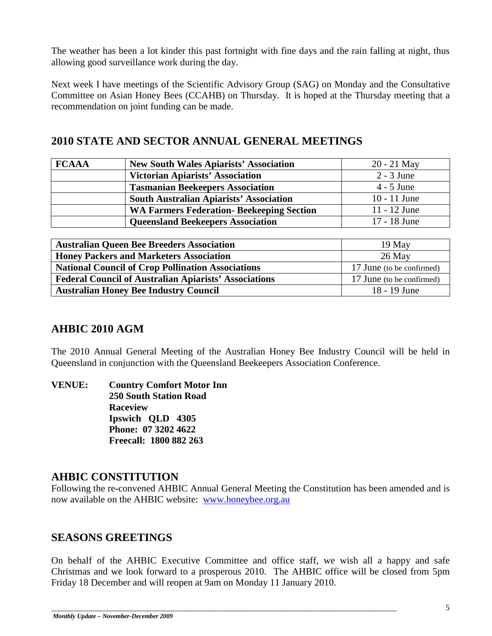The weather has been a lot kinder this past fortnight with fine days and the rain falling at night, thus allowing good surveillance work during the day.

Next week I have meetings of the Scientific Advisory Group (SAG) on Monday and the Consultative Committee on Asian Honey Bees (CCAHB) on Thursday. It is hoped at the Thursday meeting that a recommendation on joint funding can be made.

## **2010 STATE AND SECTOR ANNUAL GENERAL MEETINGS**

| <b>FCAAA</b> | <b>New South Wales Apiarists' Association</b>    | $20 - 21$ May  |
|--------------|--------------------------------------------------|----------------|
|              | <b>Victorian Apiarists' Association</b>          | $2 - 3$ June   |
|              | <b>Tasmanian Beekeepers Association</b>          | $4 - 5$ June   |
|              | <b>South Australian Apiarists' Association</b>   | $10 - 11$ June |
|              | <b>WA Farmers Federation- Beekeeping Section</b> | $11 - 12$ June |
|              | <b>Queensland Beekeepers Association</b>         | 17 - 18 June   |

| <b>Australian Queen Bee Breeders Association</b>             | $19$ May                  |
|--------------------------------------------------------------|---------------------------|
| <b>Honey Packers and Marketers Association</b>               | $26$ May                  |
| <b>National Council of Crop Pollination Associations</b>     | 17 June (to be confirmed) |
| <b>Federal Council of Australian Apiarists' Associations</b> | 17 June (to be confirmed) |
| <b>Australian Honey Bee Industry Council</b>                 | 18 - 19 June              |

## **AHBIC 2010 AGM**

The 2010 Annual General Meeting of the Australian Honey Bee Industry Council will be held in Queensland in conjunction with the Queensland Beekeepers Association Conference.

**VENUE: Country Comfort Motor Inn 250 South Station Road Raceview Ipswich QLD 4305 Phone: 07 3202 4622 Freecall: 1800 882 263**

## **AHBIC CONSTITUTION**

Following the re-convened AHBIC Annual General Meeting the Constitution has been amended and is now available on the AHBIC website: [www.honeybee.org.au](http://www.honeybee.org.au/)

## **SEASONS GREETINGS**

On behalf of the AHBIC Executive Committee and office staff, we wish all a happy and safe Christmas and we look forward to a prosperous 2010. The AHBIC office will be closed from 5pm Friday 18 December and will reopen at 9am on Monday 11 January 2010.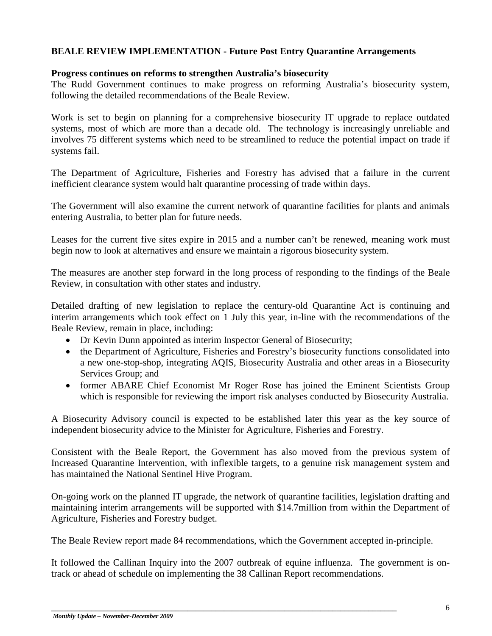#### **BEALE REVIEW IMPLEMENTATION - Future Post Entry Quarantine Arrangements**

#### **Progress continues on reforms to strengthen Australia's biosecurity**

The Rudd Government continues to make progress on reforming Australia's biosecurity system, following the detailed recommendations of the Beale Review.

Work is set to begin on planning for a comprehensive biosecurity IT upgrade to replace outdated systems, most of which are more than a decade old. The technology is increasingly unreliable and involves 75 different systems which need to be streamlined to reduce the potential impact on trade if systems fail.

The Department of Agriculture, Fisheries and Forestry has advised that a failure in the current inefficient clearance system would halt quarantine processing of trade within days.

The Government will also examine the current network of quarantine facilities for plants and animals entering Australia, to better plan for future needs.

Leases for the current five sites expire in 2015 and a number can't be renewed, meaning work must begin now to look at alternatives and ensure we maintain a rigorous biosecurity system.

The measures are another step forward in the long process of responding to the findings of the Beale Review, in consultation with other states and industry.

Detailed drafting of new legislation to replace the century-old Quarantine Act is continuing and interim arrangements which took effect on 1 July this year, in-line with the recommendations of the Beale Review, remain in place, including:

- Dr Kevin Dunn appointed as interim Inspector General of Biosecurity;
- the Department of Agriculture, Fisheries and Forestry's biosecurity functions consolidated into a new one-stop-shop, integrating AQIS, Biosecurity Australia and other areas in a Biosecurity Services Group; and
- former ABARE Chief Economist Mr Roger Rose has joined the Eminent Scientists Group which is responsible for reviewing the import risk analyses conducted by Biosecurity Australia.

A Biosecurity Advisory council is expected to be established later this year as the key source of independent biosecurity advice to the Minister for Agriculture, Fisheries and Forestry.

Consistent with the Beale Report, the Government has also moved from the previous system of Increased Quarantine Intervention, with inflexible targets, to a genuine risk management system and has maintained the National Sentinel Hive Program.

On-going work on the planned IT upgrade, the network of quarantine facilities, legislation drafting and maintaining interim arrangements will be supported with \$14.7million from within the Department of Agriculture, Fisheries and Forestry budget.

The Beale Review report made 84 recommendations, which the Government accepted in-principle.

It followed the Callinan Inquiry into the 2007 outbreak of equine influenza. The government is ontrack or ahead of schedule on implementing the 38 Callinan Report recommendations.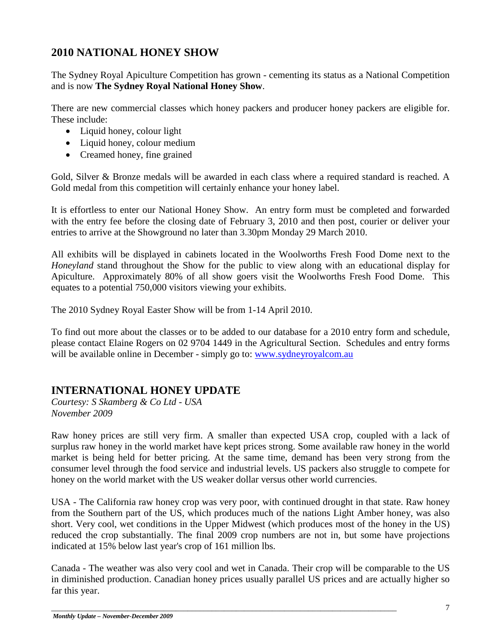## **2010 NATIONAL HONEY SHOW**

The Sydney Royal Apiculture Competition has grown - cementing its status as a National Competition and is now **The Sydney Royal National Honey Show**.

There are new commercial classes which honey packers and producer honey packers are eligible for. These include:

- Liquid honey, colour light
- Liquid honey, colour medium
- Creamed honey, fine grained

Gold, Silver & Bronze medals will be awarded in each class where a required standard is reached. A Gold medal from this competition will certainly enhance your honey label.

It is effortless to enter our National Honey Show. An entry form must be completed and forwarded with the entry fee before the closing date of February 3, 2010 and then post, courier or deliver your entries to arrive at the Showground no later than 3.30pm Monday 29 March 2010.

All exhibits will be displayed in cabinets located in the Woolworths Fresh Food Dome next to the *Honeyland* stand throughout the Show for the public to view along with an educational display for Apiculture. Approximately 80% of all show goers visit the Woolworths Fresh Food Dome. This equates to a potential 750,000 visitors viewing your exhibits.

The 2010 Sydney Royal Easter Show will be from 1-14 April 2010.

To find out more about the classes or to be added to our database for a 2010 entry form and schedule, please contact Elaine Rogers on 02 9704 1449 in the Agricultural Section. Schedules and entry forms will be available online in December - simply go to: [www.sydneyroyalcom.au](http://www.sydneyroyalcom.au/)

## **INTERNATIONAL HONEY UPDATE**

*Courtesy: S Skamberg & Co Ltd - USA November 2009*

Raw honey prices are still very firm. A smaller than expected USA crop, coupled with a lack of surplus raw honey in the world market have kept prices strong. Some available raw honey in the world market is being held for better pricing. At the same time, demand has been very strong from the consumer level through the food service and industrial levels. US packers also struggle to compete for honey on the world market with the US weaker dollar versus other world currencies.

USA - The California raw honey crop was very poor, with continued drought in that state. Raw honey from the Southern part of the US, which produces much of the nations Light Amber honey, was also short. Very cool, wet conditions in the Upper Midwest (which produces most of the honey in the US) reduced the crop substantially. The final 2009 crop numbers are not in, but some have projections indicated at 15% below last year's crop of 161 million lbs.

Canada - The weather was also very cool and wet in Canada. Their crop will be comparable to the US in diminished production. Canadian honey prices usually parallel US prices and are actually higher so far this year.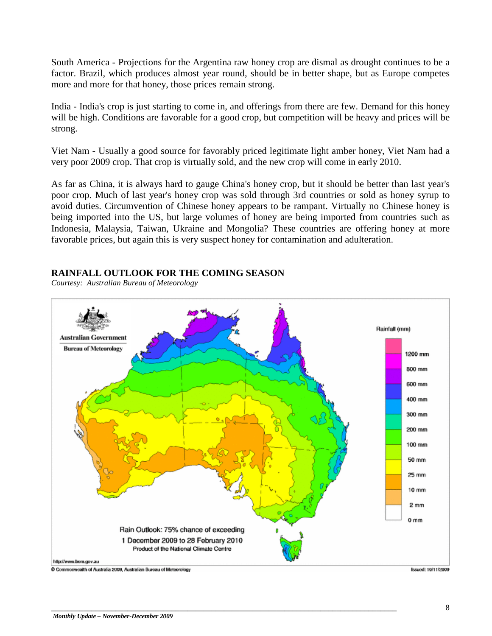South America - Projections for the Argentina raw honey crop are dismal as drought continues to be a factor. Brazil, which produces almost year round, should be in better shape, but as Europe competes more and more for that honey, those prices remain strong.

India - India's crop is just starting to come in, and offerings from there are few. Demand for this honey will be high. Conditions are favorable for a good crop, but competition will be heavy and prices will be strong.

Viet Nam - Usually a good source for favorably priced legitimate light amber honey, Viet Nam had a very poor 2009 crop. That crop is virtually sold, and the new crop will come in early 2010.

As far as China, it is always hard to gauge China's honey crop, but it should be better than last year's poor crop. Much of last year's honey crop was sold through 3rd countries or sold as honey syrup to avoid duties. Circumvention of Chinese honey appears to be rampant. Virtually no Chinese honey is being imported into the US, but large volumes of honey are being imported from countries such as Indonesia, Malaysia, Taiwan, Ukraine and Mongolia? These countries are offering honey at more favorable prices, but again this is very suspect honey for contamination and adulteration.

#### **RAINFALL OUTLOOK FOR THE COMING SEASON**

*Courtesy: Australian Bureau of Meteorology*

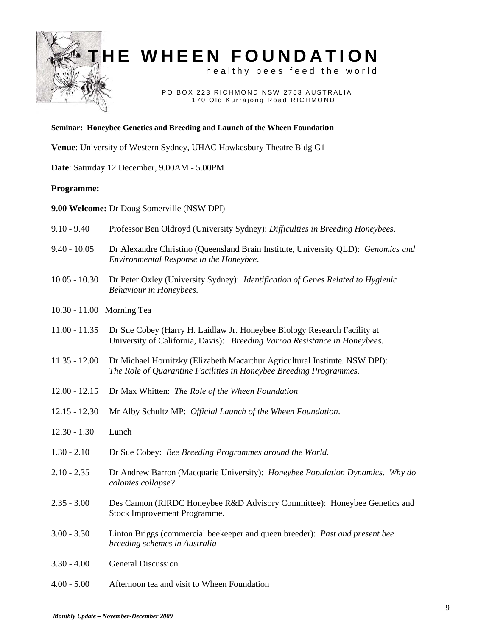

# **HE WHEEN FOUNDATION**

healthy bees feed the world

 PO BOX 223 RICHMOND NSW 2753 AUSTRALIA 170 Old Kurrajong Road RICHMOND

#### **Seminar: Honeybee Genetics and Breeding and Launch of the Wheen Foundation**

**Venue**: University of Western Sydney, UHAC Hawkesbury Theatre Bldg G1

**Date**: Saturday 12 December, 9.00AM - 5.00PM

#### **Programme:**

**9.00 Welcome:** Dr Doug Somerville (NSW DPI)

| $9.10 - 9.40$             | Professor Ben Oldroyd (University Sydney): Difficulties in Breeding Honeybees.                                                                         |
|---------------------------|--------------------------------------------------------------------------------------------------------------------------------------------------------|
| $9.40 - 10.05$            | Dr Alexandre Christino (Queensland Brain Institute, University QLD): Genomics and<br>Environmental Response in the Honeybee.                           |
| $10.05 - 10.30$           | Dr Peter Oxley (University Sydney): Identification of Genes Related to Hygienic<br>Behaviour in Honeybees.                                             |
| 10.30 - 11.00 Morning Tea |                                                                                                                                                        |
| $11.00 - 11.35$           | Dr Sue Cobey (Harry H. Laidlaw Jr. Honeybee Biology Research Facility at<br>University of California, Davis): Breeding Varroa Resistance in Honeybees. |
| $11.35 - 12.00$           | Dr Michael Hornitzky (Elizabeth Macarthur Agricultural Institute. NSW DPI):<br>The Role of Quarantine Facilities in Honeybee Breeding Programmes.      |
| $12.00 - 12.15$           | Dr Max Whitten: The Role of the Wheen Foundation                                                                                                       |
| $12.15 - 12.30$           | Mr Alby Schultz MP: Official Launch of the Wheen Foundation.                                                                                           |
| $12.30 - 1.30$            | Lunch                                                                                                                                                  |
| $1.30 - 2.10$             | Dr Sue Cobey: Bee Breeding Programmes around the World.                                                                                                |
| $2.10 - 2.35$             | Dr Andrew Barron (Macquarie University): Honeybee Population Dynamics. Why do<br>colonies collapse?                                                    |
| $2.35 - 3.00$             | Des Cannon (RIRDC Honeybee R&D Advisory Committee): Honeybee Genetics and<br>Stock Improvement Programme.                                              |
| $3.00 - 3.30$             | Linton Briggs (commercial beekeeper and queen breeder): Past and present bee<br>breeding schemes in Australia                                          |
| $3.30 - 4.00$             | <b>General Discussion</b>                                                                                                                              |
| $4.00 - 5.00$             | Afternoon tea and visit to Wheen Foundation                                                                                                            |
|                           |                                                                                                                                                        |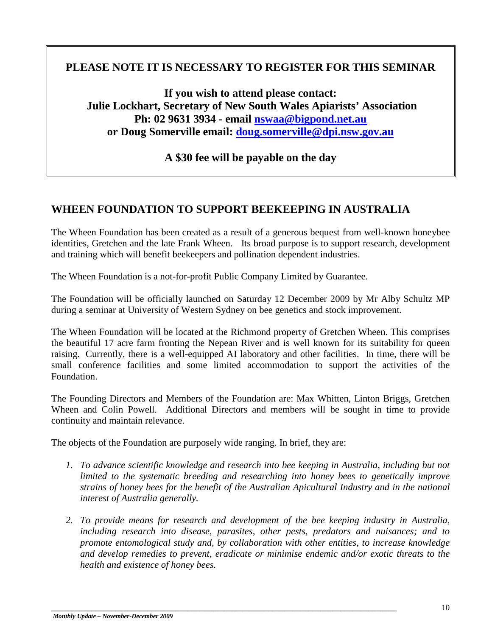## **PLEASE NOTE IT IS NECESSARY TO REGISTER FOR THIS SEMINAR**

**If you wish to attend please contact: Julie Lockhart, Secretary of New South Wales Apiarists' Association Ph: 02 9631 3934 - email [nswaa@bigpond.net.au](mailto:nswaa@bigpond.net.au) or Doug Somerville email: [doug.somerville@dpi.nsw.gov.au](mailto:doug.somerville@dpi.nsw.gov.au)**

**A \$30 fee will be payable on the day**

## **WHEEN FOUNDATION TO SUPPORT BEEKEEPING IN AUSTRALIA**

The Wheen Foundation has been created as a result of a generous bequest from well-known honeybee identities, Gretchen and the late Frank Wheen. Its broad purpose is to support research, development and training which will benefit beekeepers and pollination dependent industries.

The Wheen Foundation is a not-for-profit Public Company Limited by Guarantee.

The Foundation will be officially launched on Saturday 12 December 2009 by Mr Alby Schultz MP during a seminar at University of Western Sydney on bee genetics and stock improvement.

The Wheen Foundation will be located at the Richmond property of Gretchen Wheen. This comprises the beautiful 17 acre farm fronting the Nepean River and is well known for its suitability for queen raising. Currently, there is a well-equipped AI laboratory and other facilities. In time, there will be small conference facilities and some limited accommodation to support the activities of the Foundation.

The Founding Directors and Members of the Foundation are: Max Whitten, Linton Briggs, Gretchen Wheen and Colin Powell. Additional Directors and members will be sought in time to provide continuity and maintain relevance.

The objects of the Foundation are purposely wide ranging. In brief, they are:

- *1. To advance scientific knowledge and research into bee keeping in Australia, including but not limited to the systematic breeding and researching into honey bees to genetically improve strains of honey bees for the benefit of the Australian Apicultural Industry and in the national interest of Australia generally.*
- *2. To provide means for research and development of the bee keeping industry in Australia, including research into disease, parasites, other pests, predators and nuisances; and to promote entomological study and, by collaboration with other entities, to increase knowledge and develop remedies to prevent, eradicate or minimise endemic and/or exotic threats to the health and existence of honey bees.*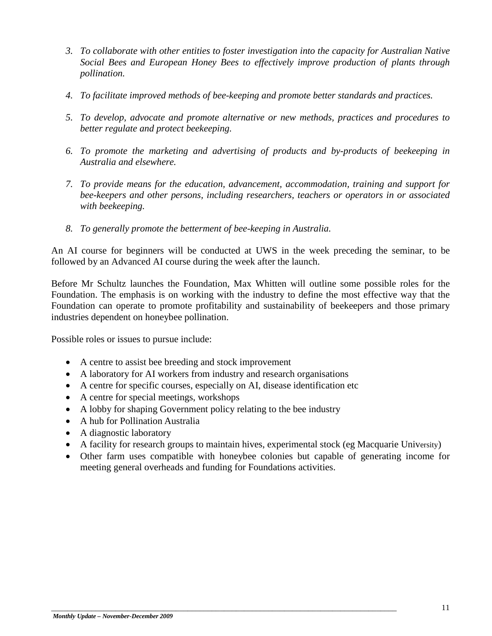- *3. To collaborate with other entities to foster investigation into the capacity for Australian Native Social Bees and European Honey Bees to effectively improve production of plants through pollination.*
- *4. To facilitate improved methods of bee-keeping and promote better standards and practices.*
- *5. To develop, advocate and promote alternative or new methods, practices and procedures to better regulate and protect beekeeping.*
- *6. To promote the marketing and advertising of products and by-products of beekeeping in Australia and elsewhere.*
- *7. To provide means for the education, advancement, accommodation, training and support for bee-keepers and other persons, including researchers, teachers or operators in or associated with beekeeping.*
- *8. To generally promote the betterment of bee-keeping in Australia.*

An AI course for beginners will be conducted at UWS in the week preceding the seminar, to be followed by an Advanced AI course during the week after the launch.

Before Mr Schultz launches the Foundation, Max Whitten will outline some possible roles for the Foundation. The emphasis is on working with the industry to define the most effective way that the Foundation can operate to promote profitability and sustainability of beekeepers and those primary industries dependent on honeybee pollination.

Possible roles or issues to pursue include:

- A centre to assist bee breeding and stock improvement
- A laboratory for AI workers from industry and research organisations
- A centre for specific courses, especially on AI, disease identification etc
- A centre for special meetings, workshops
- A lobby for shaping Government policy relating to the bee industry
- A hub for Pollination Australia
- A diagnostic laboratory
- A facility for research groups to maintain hives, experimental stock (eg Macquarie University)
- Other farm uses compatible with honeybee colonies but capable of generating income for meeting general overheads and funding for Foundations activities.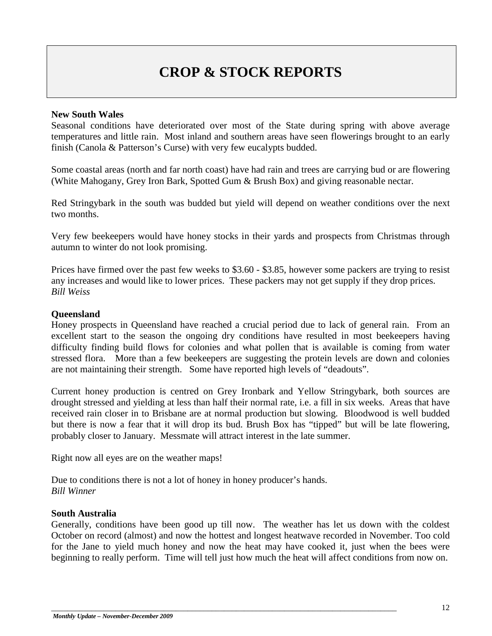## **CROP & STOCK REPORTS**

#### **New South Wales**

Seasonal conditions have deteriorated over most of the State during spring with above average temperatures and little rain. Most inland and southern areas have seen flowerings brought to an early finish (Canola & Patterson's Curse) with very few eucalypts budded.

Some coastal areas (north and far north coast) have had rain and trees are carrying bud or are flowering (White Mahogany, Grey Iron Bark, Spotted Gum & Brush Box) and giving reasonable nectar.

Red Stringybark in the south was budded but yield will depend on weather conditions over the next two months.

Very few beekeepers would have honey stocks in their yards and prospects from Christmas through autumn to winter do not look promising.

Prices have firmed over the past few weeks to \$3.60 - \$3.85, however some packers are trying to resist any increases and would like to lower prices. These packers may not get supply if they drop prices. *Bill Weiss*

#### **Queensland**

Honey prospects in Queensland have reached a crucial period due to lack of general rain. From an excellent start to the season the ongoing dry conditions have resulted in most beekeepers having difficulty finding build flows for colonies and what pollen that is available is coming from water stressed flora. More than a few beekeepers are suggesting the protein levels are down and colonies are not maintaining their strength. Some have reported high levels of "deadouts".

Current honey production is centred on Grey Ironbark and Yellow Stringybark, both sources are drought stressed and yielding at less than half their normal rate, i.e. a fill in six weeks. Areas that have received rain closer in to Brisbane are at normal production but slowing. Bloodwood is well budded but there is now a fear that it will drop its bud. Brush Box has "tipped" but will be late flowering, probably closer to January. Messmate will attract interest in the late summer.

Right now all eyes are on the weather maps!

Due to conditions there is not a lot of honey in honey producer's hands. *Bill Winner*

#### **South Australia**

Generally, conditions have been good up till now. The weather has let us down with the coldest October on record (almost) and now the hottest and longest heatwave recorded in November. Too cold for the Jane to yield much honey and now the heat may have cooked it, just when the bees were beginning to really perform. Time will tell just how much the heat will affect conditions from now on.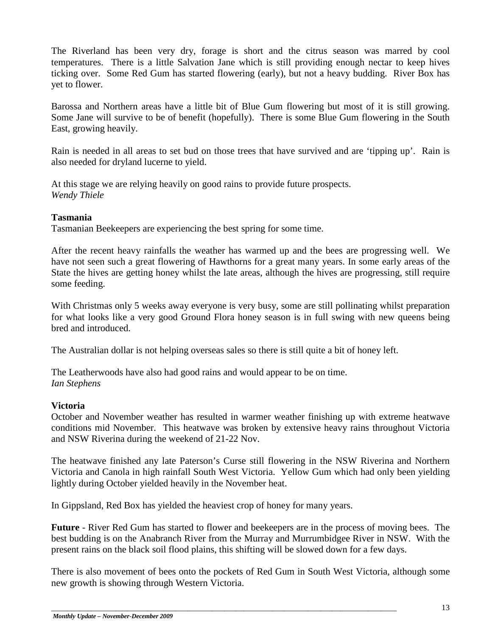The Riverland has been very dry, forage is short and the citrus season was marred by cool temperatures. There is a little Salvation Jane which is still providing enough nectar to keep hives ticking over. Some Red Gum has started flowering (early), but not a heavy budding. River Box has yet to flower.

Barossa and Northern areas have a little bit of Blue Gum flowering but most of it is still growing. Some Jane will survive to be of benefit (hopefully). There is some Blue Gum flowering in the South East, growing heavily.

Rain is needed in all areas to set bud on those trees that have survived and are 'tipping up'. Rain is also needed for dryland lucerne to yield.

At this stage we are relying heavily on good rains to provide future prospects. *Wendy Thiele*

#### **Tasmania**

Tasmanian Beekeepers are experiencing the best spring for some time.

After the recent heavy rainfalls the weather has warmed up and the bees are progressing well. We have not seen such a great flowering of Hawthorns for a great many years. In some early areas of the State the hives are getting honey whilst the late areas, although the hives are progressing, still require some feeding.

With Christmas only 5 weeks away everyone is very busy, some are still pollinating whilst preparation for what looks like a very good Ground Flora honey season is in full swing with new queens being bred and introduced.

The Australian dollar is not helping overseas sales so there is still quite a bit of honey left.

The Leatherwoods have also had good rains and would appear to be on time. *Ian Stephens* 

#### **Victoria**

October and November weather has resulted in warmer weather finishing up with extreme heatwave conditions mid November. This heatwave was broken by extensive heavy rains throughout Victoria and NSW Riverina during the weekend of 21-22 Nov.

The heatwave finished any late Paterson's Curse still flowering in the NSW Riverina and Northern Victoria and Canola in high rainfall South West Victoria. Yellow Gum which had only been yielding lightly during October yielded heavily in the November heat.

In Gippsland, Red Box has yielded the heaviest crop of honey for many years.

**Future** - River Red Gum has started to flower and beekeepers are in the process of moving bees. The best budding is on the Anabranch River from the Murray and Murrumbidgee River in NSW. With the present rains on the black soil flood plains, this shifting will be slowed down for a few days.

There is also movement of bees onto the pockets of Red Gum in South West Victoria, although some new growth is showing through Western Victoria.